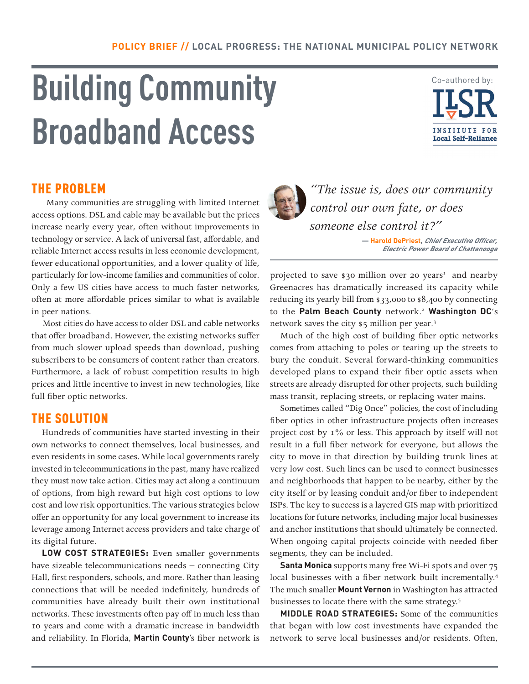# **Building Community Broadband Access**



## THE PROBLEM

 Many communities are struggling with limited Internet access options. DSL and cable may be available but the prices increase nearly every year, often without improvements in technology or service. A lack of universal fast, affordable, and reliable Internet access results in less economic development, fewer educational opportunities, and a lower quality of life, particularly for low-income families and communities of color. Only a few US cities have access to much faster networks, often at more affordable prices similar to what is available in peer nations.

 Most cities do have access to older DSL and cable networks that offer broadband. However, the existing networks suffer from much slower upload speeds than download, pushing subscribers to be consumers of content rather than creators. Furthermore, a lack of robust competition results in high prices and little incentive to invest in new technologies, like full fiber optic networks.

## THE SOLUTION

Hundreds of communities have started investing in their own networks to connect themselves, local businesses, and even residents in some cases. While local governments rarely invested in telecommunications in the past, many have realized they must now take action. Cities may act along a continuum of options, from high reward but high cost options to low cost and low risk opportunities. The various strategies below offer an opportunity for any local government to increase its leverage among Internet access providers and take charge of its digital future.

**LOW COST STRATEGIES:** Even smaller governments have sizeable telecommunications needs – connecting City Hall, first responders, schools, and more. Rather than leasing connections that will be needed indefinitely, hundreds of communities have already built their own institutional networks. These investments often pay off in much less than 10 years and come with a dramatic increase in bandwidth and reliability. In Florida, **Martin County**'s fiber network is



*"The issue is, does our community control our own fate, or does someone else control it?"* 

> **— Harold DePriest, Chief Executive Officer, Electric Power Board of Chattanooga**

projected to save \$30 million over 20 years<sup>1</sup> and nearby Greenacres has dramatically increased its capacity while reducing its yearly bill from \$33,000 to \$8,400 by connecting to the **Palm Beach County** network. <sup>2</sup> **Washington DC**'s network saves the city \$5 million per year. 3

Much of the high cost of building fiber optic networks comes from attaching to poles or tearing up the streets to bury the conduit. Several forward-thinking communities developed plans to expand their fiber optic assets when streets are already disrupted for other projects, such building mass transit, replacing streets, or replacing water mains.

Sometimes called "Dig Once" policies, the cost of including fiber optics in other infrastructure projects often increases project cost by 1% or less. This approach by itself will not result in a full fiber network for everyone, but allows the city to move in that direction by building trunk lines at very low cost. Such lines can be used to connect businesses and neighborhoods that happen to be nearby, either by the city itself or by leasing conduit and/or fiber to independent ISPs. The key to success is a layered GIS map with prioritized locations for future networks, including major local businesses and anchor institutions that should ultimately be connected. When ongoing capital projects coincide with needed fiber segments, they can be included.

**Santa Monica** supports many free Wi-Fi spots and over 75 local businesses with a fiber network built incrementally.<sup>4</sup> The much smaller **Mount Vernon** in Washington has attracted businesses to locate there with the same strategy.<sup>5</sup>

**MIDDLE ROAD STRATEGIES:** Some of the communities that began with low cost investments have expanded the network to serve local businesses and/or residents. Often,